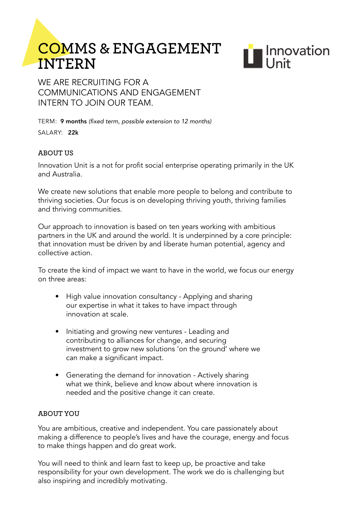# **Comms & engagement InteRn**



WE ARE RECRUITING FOR A communications and engagement intern to join our team.

TERM: 9 months (fixed term, possible extension to 12 months)

salary: 22k

# **aBoUt Us**

Innovation Unit is a not for profit social enterprise operating primarily in the UK and Australia.

We create new solutions that enable more people to belong and contribute to thriving societies. Our focus is on developing thriving youth, thriving families and thriving communities.

Our approach to innovation is based on ten years working with ambitious partners in the UK and around the world. It is underpinned by a core principle: that innovation must be driven by and liberate human potential, agency and collective action.

To create the kind of impact we want to have in the world, we focus our energy on three areas:

- High value innovation consultancy Applying and sharing our expertise in what it takes to have impact through innovation at scale.
- Initiating and growing new ventures Leading and contributing to alliances for change, and securing investment to grow new solutions 'on the ground' where we can make a significant impact.
- Generating the demand for innovation Actively sharing what we think, believe and know about where innovation is needed and the positive change it can create.

## **aBoUt yoU**

You are ambitious, creative and independent. You care passionately about making a difference to people's lives and have the courage, energy and focus to make things happen and do great work.

You will need to think and learn fast to keep up, be proactive and take responsibility for your own development. The work we do is challenging but also inspiring and incredibly motivating.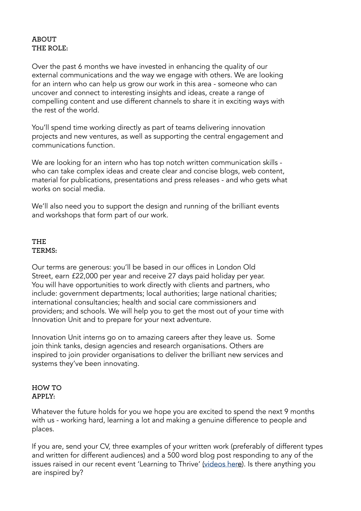#### **aBoUt the Role:**

Over the past 6 months we have invested in enhancing the quality of our external communications and the way we engage with others. We are looking for an intern who can help us grow our work in this area - someone who can uncover and connect to interesting insights and ideas, create a range of compelling content and use different channels to share it in exciting ways with the rest of the world.

You'll spend time working directly as part of teams delivering innovation projects and new ventures, as well as supporting the central engagement and communications function.

We are looking for an intern who has top notch written communication skills who can take complex ideas and create clear and concise blogs, web content, material for publications, presentations and press releases - and who gets what works on social media.

We'll also need you to support the design and running of the brilliant events and workshops that form part of our work.

## **THE** TERMS:

Our terms are generous: you'll be based in our offices in London Old Street, earn £22,000 per year and receive 27 days paid holiday per year. You will have opportunities to work directly with clients and partners, who include: government departments; local authorities; large national charities; international consultancies; health and social care commissioners and providers; and schools. We will help you to get the most out of your time with Innovation Unit and to prepare for your next adventure.

Innovation Unit interns go on to amazing careers after they leave us. Some join think tanks, design agencies and research organisations. Others are inspired to join provider organisations to deliver the brilliant new services and systems they've been innovating.

## **how to apply:**

Whatever the future holds for you we hope you are excited to spend the next 9 months with us - working hard, learning a lot and making a genuine difference to people and places.

If you are, send your CV, three examples of your written work (preferably of different types and written for different audiences) and a 500 word blog post responding to any of the issues raised in our recent event 'Learning to Thrive' ([videos here](https://www.youtube.com/watch?v=9uSOsBY16Zk&list=PLeQrO4xHrF2Lv6gJLxN_jPT5DYwRmwU7X)). Is there anything you are inspired by?